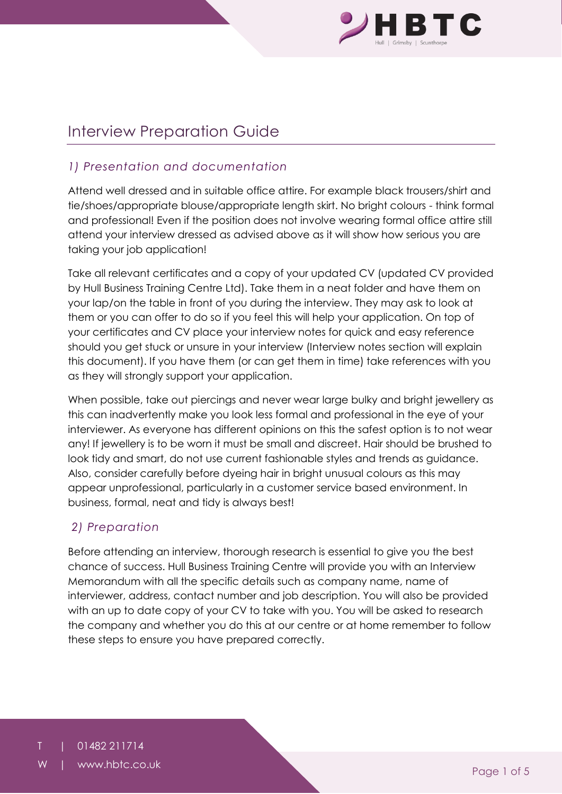

# Interview Preparation Guide

# *1) Presentation and documentation*

Attend well dressed and in suitable office attire. For example black trousers/shirt and tie/shoes/appropriate blouse/appropriate length skirt. No bright colours - think formal and professional! Even if the position does not involve wearing formal office attire still attend your interview dressed as advised above as it will show how serious you are taking your job application!

Take all relevant certificates and a copy of your updated CV (updated CV provided by Hull Business Training Centre Ltd). Take them in a neat folder and have them on your lap/on the table in front of you during the interview. They may ask to look at them or you can offer to do so if you feel this will help your application. On top of your certificates and CV place your interview notes for quick and easy reference should you get stuck or unsure in your interview (Interview notes section will explain this document). If you have them (or can get them in time) take references with you as they will strongly support your application.

When possible, take out piercings and never wear large bulky and bright jewellery as this can inadvertently make you look less formal and professional in the eye of your interviewer. As everyone has different opinions on this the safest option is to not wear any! If jewellery is to be worn it must be small and discreet. Hair should be brushed to look tidy and smart, do not use current fashionable styles and trends as guidance. Also, consider carefully before dyeing hair in bright unusual colours as this may appear unprofessional, particularly in a customer service based environment. In business, formal, neat and tidy is always best!

# *2) Preparation*

Before attending an interview, thorough research is essential to give you the best chance of success. Hull Business Training Centre will provide you with an Interview Memorandum with all the specific details such as company name, name of interviewer, address, contact number and job description. You will also be provided with an up to date copy of your CV to take with you. You will be asked to research the company and whether you do this at our centre or at home remember to follow these steps to ensure you have prepared correctly.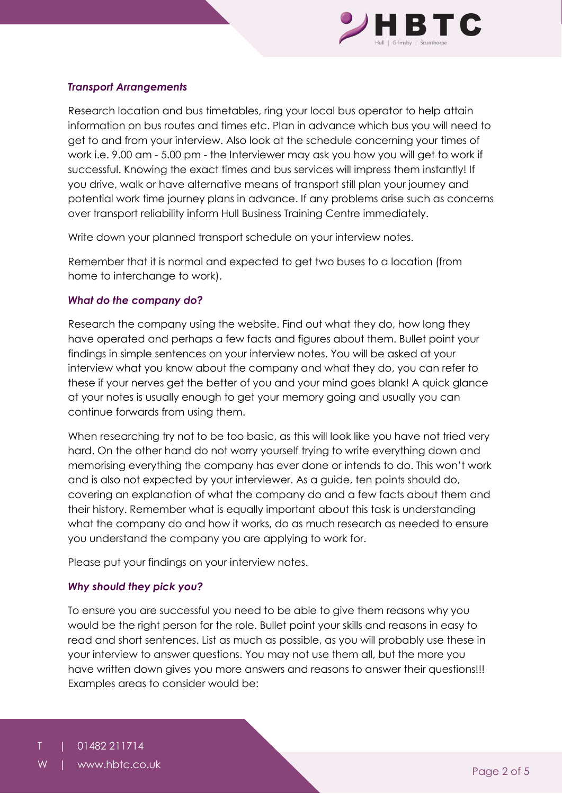

### *Transport Arrangements*

Research location and bus timetables, ring your local bus operator to help attain information on bus routes and times etc. Plan in advance which bus you will need to get to and from your interview. Also look at the schedule concerning your times of work i.e. 9.00 am - 5.00 pm - the Interviewer may ask you how you will get to work if successful. Knowing the exact times and bus services will impress them instantly! If you drive, walk or have alternative means of transport still plan your journey and potential work time journey plans in advance. If any problems arise such as concerns over transport reliability inform Hull Business Training Centre immediately.

Write down your planned transport schedule on your interview notes.

Remember that it is normal and expected to get two buses to a location (from home to interchange to work).

#### *What do the company do?*

Research the company using the website. Find out what they do, how long they have operated and perhaps a few facts and figures about them. Bullet point your findings in simple sentences on your interview notes. You will be asked at your interview what you know about the company and what they do, you can refer to these if your nerves get the better of you and your mind goes blank! A quick glance at your notes is usually enough to get your memory going and usually you can continue forwards from using them.

When researching try not to be too basic, as this will look like you have not tried very hard. On the other hand do not worry yourself trying to write everything down and memorising everything the company has ever done or intends to do. This won't work and is also not expected by your interviewer. As a guide, ten points should do, covering an explanation of what the company do and a few facts about them and their history. Remember what is equally important about this task is understanding what the company do and how it works, do as much research as needed to ensure you understand the company you are applying to work for.

Please put your findings on your interview notes.

#### *Why should they pick you?*

To ensure you are successful you need to be able to give them reasons why you would be the right person for the role. Bullet point your skills and reasons in easy to read and short sentences. List as much as possible, as you will probably use these in your interview to answer questions. You may not use them all, but the more you have written down gives you more answers and reasons to answer their questions!!! Examples areas to consider would be: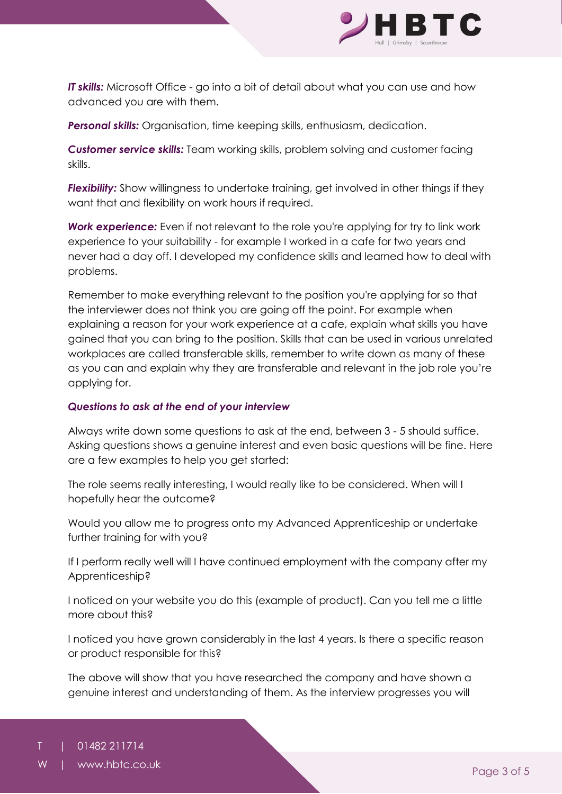

*IT skills:* Microsoft Office - go into a bit of detail about what you can use and how advanced you are with them.

*Personal skills:* Organisation, time keeping skills, enthusiasm, dedication.

*Customer service skills:* Team working skills, problem solving and customer facing skills.

*Flexibility:* Show willingness to undertake training, get involved in other things if they want that and flexibility on work hours if required.

**Work experience:** Even if not relevant to the role you're applying for try to link work experience to your suitability - for example I worked in a cafe for two years and never had a day off. I developed my confidence skills and learned how to deal with problems.

Remember to make everything relevant to the position you're applying for so that the interviewer does not think you are going off the point. For example when explaining a reason for your work experience at a cafe, explain what skills you have gained that you can bring to the position. Skills that can be used in various unrelated workplaces are called transferable skills, remember to write down as many of these as you can and explain why they are transferable and relevant in the job role you're applying for.

#### *Questions to ask at the end of your interview*

Always write down some questions to ask at the end, between 3 - 5 should suffice. Asking questions shows a genuine interest and even basic questions will be fine. Here are a few examples to help you get started:

The role seems really interesting, I would really like to be considered. When will I hopefully hear the outcome?

Would you allow me to progress onto my Advanced Apprenticeship or undertake further training for with you?

If I perform really well will I have continued employment with the company after my Apprenticeship?

I noticed on your website you do this (example of product). Can you tell me a little more about this?

I noticed you have grown considerably in the last 4 years. Is there a specific reason or product responsible for this?

The above will show that you have researched the company and have shown a genuine interest and understanding of them. As the interview progresses you will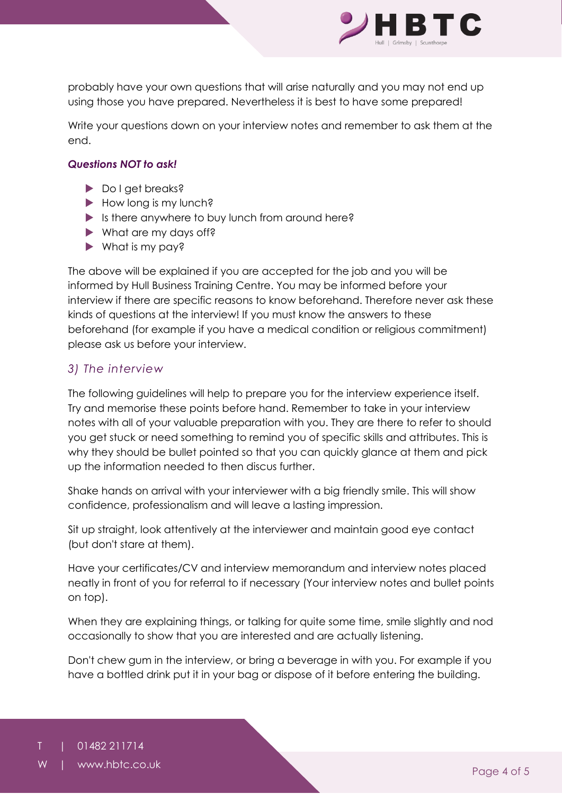

probably have your own questions that will arise naturally and you may not end up using those you have prepared. Nevertheless it is best to have some prepared!

Write your questions down on your interview notes and remember to ask them at the end.

### *Questions NOT to ask!*

- Do I get breaks?
- How long is my lunch?
- $\blacktriangleright$  Is there anywhere to buy lunch from around here?
- What are my days off?
- What is my pay?

The above will be explained if you are accepted for the job and you will be informed by Hull Business Training Centre. You may be informed before your interview if there are specific reasons to know beforehand. Therefore never ask these kinds of questions at the interview! If you must know the answers to these beforehand (for example if you have a medical condition or religious commitment) please ask us before your interview.

### *3) The interview*

The following guidelines will help to prepare you for the interview experience itself. Try and memorise these points before hand. Remember to take in your interview notes with all of your valuable preparation with you. They are there to refer to should you get stuck or need something to remind you of specific skills and attributes. This is why they should be bullet pointed so that you can quickly glance at them and pick up the information needed to then discus further.

Shake hands on arrival with your interviewer with a big friendly smile. This will show confidence, professionalism and will leave a lasting impression.

Sit up straight, look attentively at the interviewer and maintain good eye contact (but don't stare at them).

Have your certificates/CV and interview memorandum and interview notes placed neatly in front of you for referral to if necessary (Your interview notes and bullet points on top).

When they are explaining things, or talking for quite some time, smile slightly and nod occasionally to show that you are interested and are actually listening.

Don't chew gum in the interview, or bring a beverage in with you. For example if you have a bottled drink put it in your bag or dispose of it before entering the building.